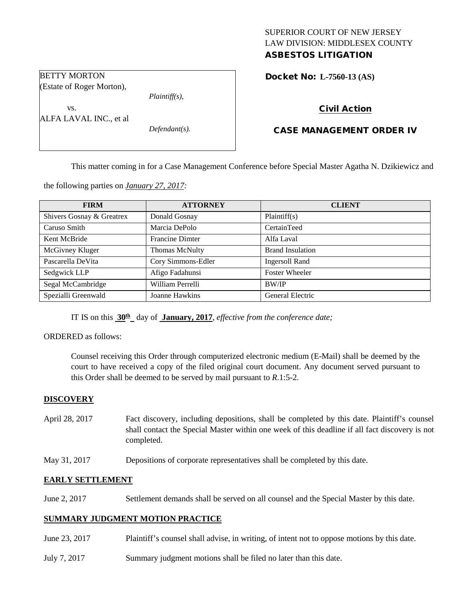# SUPERIOR COURT OF NEW JERSEY LAW DIVISION: MIDDLESEX COUNTY

# ASBESTOS LITIGATION

Docket No: **L-7560-13 (AS)** 

# Civil Action

# CASE MANAGEMENT ORDER IV

This matter coming in for a Case Management Conference before Special Master Agatha N. Dzikiewicz and

the following parties on *January 27, 2017:*

| <b>FIRM</b>               | <b>ATTORNEY</b>        | <b>CLIENT</b>           |
|---------------------------|------------------------|-------------------------|
| Shivers Gosnay & Greatrex | Donald Gosnay          | Plaintiff(s)            |
| Caruso Smith              | Marcia DePolo          | CertainTeed             |
| Kent McBride              | <b>Francine Dimter</b> | Alfa Laval              |
| McGivney Kluger           | <b>Thomas McNulty</b>  | <b>Brand Insulation</b> |
| Pascarella DeVita         | Cory Simmons-Edler     | <b>Ingersoll Rand</b>   |
| Sedgwick LLP              | Afigo Fadahunsi        | <b>Foster Wheeler</b>   |
| Segal McCambridge         | William Perrelli       | BW/IP                   |
| Spezialli Greenwald       | Joanne Hawkins         | General Electric        |

IT IS on this  $30<sup>th</sup>$  day of **January, 2017**, *effective from the conference date*;

ORDERED as follows:

Counsel receiving this Order through computerized electronic medium (E-Mail) shall be deemed by the court to have received a copy of the filed original court document. Any document served pursuant to this Order shall be deemed to be served by mail pursuant to *R*.1:5-2.

## **DISCOVERY**

- April 28, 2017 Fact discovery, including depositions, shall be completed by this date. Plaintiff's counsel shall contact the Special Master within one week of this deadline if all fact discovery is not completed.
- May 31, 2017 Depositions of corporate representatives shall be completed by this date.

#### **EARLY SETTLEMENT**

June 2, 2017 Settlement demands shall be served on all counsel and the Special Master by this date.

## **SUMMARY JUDGMENT MOTION PRACTICE**

- June 23, 2017 Plaintiff's counsel shall advise, in writing, of intent not to oppose motions by this date.
- July 7, 2017 Summary judgment motions shall be filed no later than this date.

### BETTY MORTON (Estate of Roger Morton),

*Plaintiff(s),*

vs. ALFA LAVAL INC., et al

*Defendant(s).*